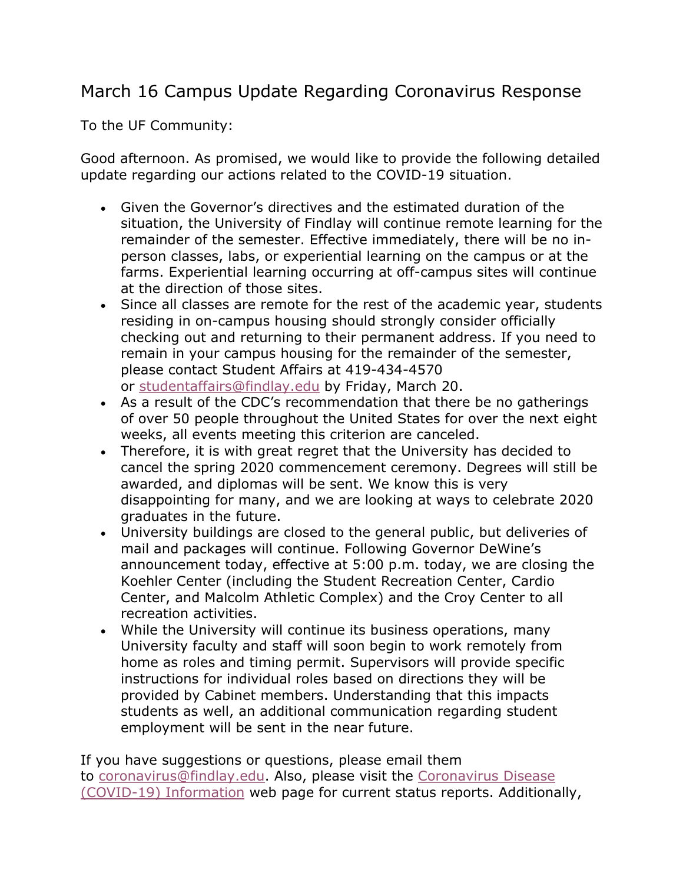## March 16 Campus Update Regarding Coronavirus Response

To the UF Community:

Good afternoon. As promised, we would like to provide the following detailed update regarding our actions related to the COVID-19 situation.

- Given the Governor's directives and the estimated duration of the situation, the University of Findlay will continue remote learning for the remainder of the semester. Effective immediately, there will be no inperson classes, labs, or experiential learning on the campus or at the farms. Experiential learning occurring at off-campus sites will continue at the direction of those sites.
- Since all classes are remote for the rest of the academic year, students residing in on-campus housing should strongly consider officially checking out and returning to their permanent address. If you need to remain in your campus housing for the remainder of the semester, please contact Student Affairs at 419-434-4570 or studentaffairs@findlay.edu by Friday, March 20.
- As a result of the CDC's recommendation that there be no gatherings of over 50 people throughout the United States for over the next eight weeks, all events meeting this criterion are canceled.
- Therefore, it is with great regret that the University has decided to cancel the spring 2020 commencement ceremony. Degrees will still be awarded, and diplomas will be sent. We know this is very disappointing for many, and we are looking at ways to celebrate 2020 graduates in the future.
- University buildings are closed to the general public, but deliveries of mail and packages will continue. Following Governor DeWine's announcement today, effective at 5:00 p.m. today, we are closing the Koehler Center (including the Student Recreation Center, Cardio Center, and Malcolm Athletic Complex) and the Croy Center to all recreation activities.
- While the University will continue its business operations, many University faculty and staff will soon begin to work remotely from home as roles and timing permit. Supervisors will provide specific instructions for individual roles based on directions they will be provided by Cabinet members. Understanding that this impacts students as well, an additional communication regarding student employment will be sent in the near future.

If you have suggestions or questions, please email them to coronavirus@findlay.edu. Also, please visit the Coronavirus Disease (COVID-19) Information web page for current status reports. Additionally,